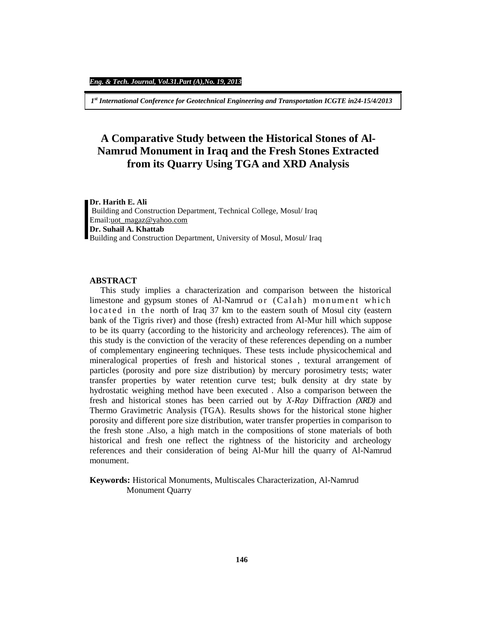*1 st International Conference for Geotechnical Engineering and Transportation ICGTE in24-15/4/2013*

# **A Comparative Study between the Historical Stones of Al-Namrud Monument in Iraq and the Fresh Stones Extracted from its Quarry Using TGA and XRD Analysis**

#### **Dr. Harith E. Ali**

Building and Construction Department, Technical College, Mosul/ Iraq Email:[uot\\_magaz@yahoo.com](mailto:uot_magaz@yahoo.com) **Dr. Suhail A. Khattab**  Building and Construction Department, University of Mosul, Mosul/ Iraq

## **ABSTRACT**

 This study implies a characterization and comparison between the historical limestone and gypsum stones of Al-Namrud or (Calah) monument which located in the north of Iraq 37 km to the eastern south of Mosul city (eastern bank of the Tigris river) and those (fresh) extracted from Al-Mur hill which suppose to be its quarry (according to the historicity and archeology references). The aim of this study is the conviction of the veracity of these references depending on a number of complementary engineering techniques. These tests include physicochemical and mineralogical properties of fresh and historical stones , textural arrangement of particles (porosity and pore size distribution) by mercury porosimetry tests; water transfer properties by water retention curve test; bulk density at dry state by hydrostatic weighing method have been executed . Also a comparison between the fresh and historical stones has been carried out by *X-Ray* Diffraction *(XRD)* and Thermo Gravimetric Analysis (TGA). Results shows for the historical stone higher porosity and different pore size distribution, water transfer properties in comparison to the fresh stone .Also, a high match in the compositions of stone materials of both historical and fresh one reflect the rightness of the historicity and archeology references and their consideration of being Al-Mur hill the quarry of Al-Namrud monument.

**Keywords:** Historical Monuments, Multiscales Characterization, Al-Namrud Monument Quarry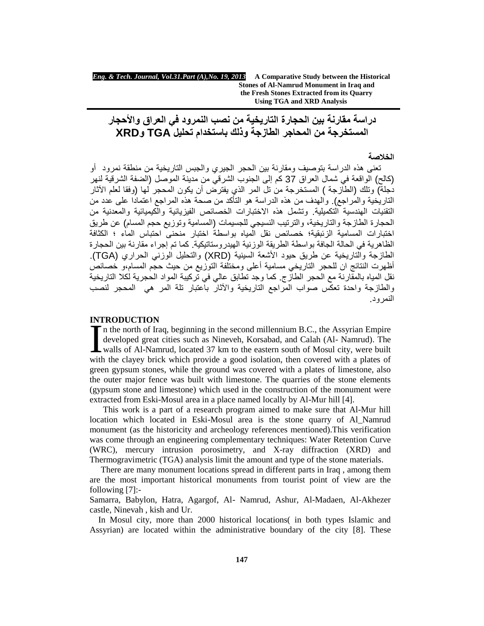*Eng. & Tech. Journal, Vol.31.Part (A),No. 19, 2013* **A Comparative Study between the Historical Stones of Al-Namrud Monument in Iraq and the Fresh Stones Extracted from its Quarry Using TGA and XRD Analysis**

**دراسة مقارنة بین الحجارة التاریخیة من نصب النمرود في العراق والأحجار المستخرجة من المحاجر الطازجة وذلك باستخدام تحلیل TGA وXRD** 

#### **الخلاصة**

تعنى ھذه الدراسة بتوصیف ومقارنة بین الحجر الجیري والجبس التاریخیة من منطقة نمرود أو (كالح) الواقعة في شمال العراق 37 كم إلى الجنوب الشرقي من مدینة الموصل (الضفة الشرقیة لنھر دجلة) وتلك (الطازجة ) المستخرجة من تل المر الذي یفترض أن یكون المحجر لھا (وفقا لعلم الآثار التاریخیة والمراجع). والھدف من ھذه الدراسة ھو التأكد من صحة ھذه المراجع اعتمادا على عدد من التقنیات الھندسیة التكمیلیة. وتشمل ھذه الاختبارات الخصائص الفیزیائیة والكیمیائیة والمعدنیة من الحجارة الطازجة والتاریخیة، والترتیب النسیجي للجسیمات (المسامیة وتوزیع حجم المسام) عن طریق اختبارات المسامیة الزئبقیة؛ خصائص نقل المیاه بواسطة اختبار منحنى احتباس الماء ؛ الكثافة الظاهر بـة في الحالة الجافة بو اسطة الطریقة الوزنیة الـهیدروستاتیكیة. كما تم إجراء مقارنة بین الحجار ة الطازجة والتاریخیة عن طریق حیود الأشعة السینیة (XRD (والتحلیل الوزني الحراري (TGA(. أظھرت النتائج ان للحجر التاریخي مسامیة أعلى ومختلفة التوزیع من حیث حجم المسام،و خصائص نقل المیاه بالمقارنة مع الحجر الطازج. كما وجد تطابق عالي في تركیبة المواد الحجریة لكلا التاریخیة والطازجة واحدة تعكس صواب المراجع التاریخیة والآثار باعتبار تلة المر ھي المحجر لنصب النمرود.

### **INTRODUCTION**

n the north of Iraq, beginning in the second millennium B.C., the Assyrian Empire developed great cities such as Nineveh, Korsabad, and Calah (Al- Namrud). The INTRODUCTION<br>
In the north of Iraq, beginning in the second millennium B.C., the Assyrian Empire<br>
developed great cities such as Nineveh, Korsabad, and Calah (Al-Namrud). The<br>
walls of Al-Namrud, located 37 km to the easte with the clayey brick which provide a good isolation, then covered with a plates of green gypsum stones, while the ground was covered with a plates of limestone, also the outer major fence was built with limestone. The quarries of the stone elements (gypsum stone and limestone) which used in the construction of the monument were extracted from Eski-Mosul area in a place named locally by Al-Mur hill [4].

This work is a part of a research program aimed to make sure that Al-Mur hill location which located in Eski-Mosul area is the stone quarry of Al\_Namrud monument (as the historicity and archeology references mentioned).This verification was come through an engineering complementary techniques: Water Retention Curve (WRC), mercury intrusion porosimetry, and X-ray diffraction (XRD) and Thermogravimetric (TGA) analysis limit the amount and type of the stone materials.

There are many monument locations spread in different parts in Iraq , among them are the most important historical monuments from tourist point of view are the following [7]:-

Samarra, Babylon, Hatra, Agargof, Al- Namrud, Ashur, Al-Madaen, Al-Akhezer castle, Ninevah , kish and Ur.

 In Mosul city, more than 2000 historical locations( in both types Islamic and Assyrian) are located within the administrative boundary of the city [8]. These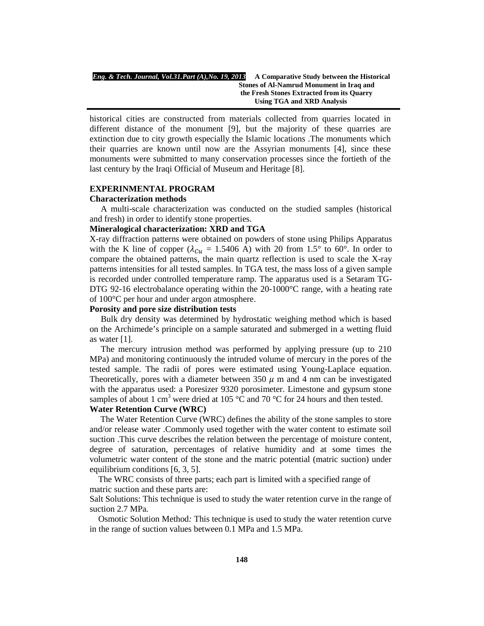historical cities are constructed from materials collected from quarries located in different distance of the monument [9], but the majority of these quarries are extinction due to city growth especially the Islamic locations .The monuments which their quarries are known until now are the Assyrian monuments [4], since these monuments were submitted to many conservation processes since the fortieth of the last century by the Iraqi Official of Museum and Heritage [8].

#### **EXPERINMENTAL PROGRAM**

#### **Characterization methods**

A multi-scale characterization was conducted on the studied samples (historical and fresh) in order to identify stone properties.

#### **Mineralogical characterization: XRD and TGA**

X-ray diffraction patterns were obtained on powders of stone using Philips Apparatus with the K line of copper ( $\lambda_{Cu} = 1.5406$  A) with 20 from 1.5° to 60°. In order to compare the obtained patterns, the main quartz reflection is used to scale the X-ray patterns intensities for all tested samples. In TGA test, the mass loss of a given sample is recorded under controlled temperature ramp. The apparatus used is a Setaram TG-DTG 92-16 electrobalance operating within the  $20-1000^{\circ}$ C range, with a heating rate of 100°C per hour and under argon atmosphere.

#### **Porosity and pore size distribution tests**

Bulk dry density was determined by hydrostatic weighing method which is based on the Archimede's principle on a sample saturated and submerged in a wetting fluid as water [1].

The mercury intrusion method was performed by applying pressure (up to 210 MPa) and monitoring continuously the intruded volume of mercury in the pores of the tested sample. The radii of pores were estimated using Young-Laplace equation. Theoretically, pores with a diameter between 350  $\mu$  m and 4 nm can be investigated with the apparatus used: a Poresizer 9320 porosimeter. Limestone and gypsum stone samples of about 1 cm<sup>3</sup> were dried at 105  $^{\circ}$ C and 70  $^{\circ}$ C for 24 hours and then tested.

## **Water Retention Curve (WRC)**

 The Water Retention Curve (WRC) defines the ability of the stone samples to store and/or release water .Commonly used together with the water content to estimate soil suction .This curve describes the relation between the percentage of moisture content, degree of saturation, percentages of relative humidity and at some times the volumetric water content of the stone and the matric potential (matric suction) under equilibrium conditions [6, 3, 5].

 The WRC consists of three parts; each part is limited with a specified range of matric suction and these parts are:

Salt Solutions: This technique is used to study the water retention curve in the range of suction 2.7 MPa*.*

 Osmotic Solution Method*:* This technique is used to study the water retention curve in the range of suction values between 0.1 MPa and 1.5 MPa.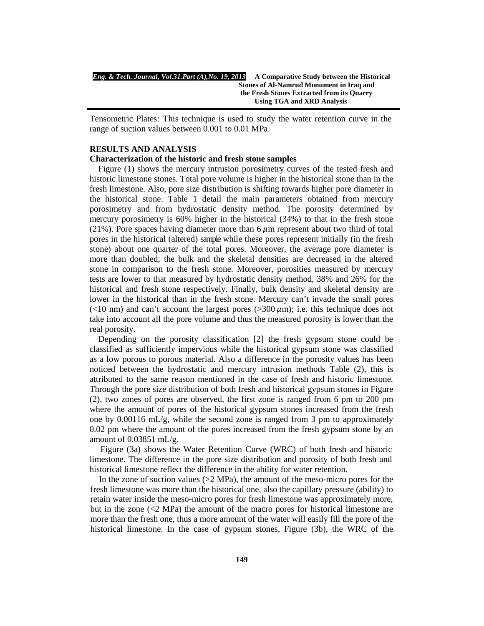| Eng. & Tech. Journal, Vol.31.Part (A), No. 19, 2013 | A Comparative Study between the Historical |  |
|-----------------------------------------------------|--------------------------------------------|--|
|                                                     | Stones of Al-Namrud Monument in Iraq and   |  |
| the Fresh Stones Extracted from its Quarry          |                                            |  |
|                                                     | Using TGA and XRD Analysis                 |  |

Tensometric Plates*:* This technique is used to study the water retention curve in the range of suction values between 0.001 to 0.01 MPa.

#### **RESULTS AND ANALYSIS**

#### **Characterization of the historic and fresh stone samples**

 Figure (1) shows the mercury intrusion porosimetry curves of the tested fresh and historic limestone stones. Total pore volume is higher in the historical stone than in the fresh limestone. Also, pore size distribution is shifting towards higher pore diameter in the historical stone. Table 1 detail the main parameters obtained from mercury porosimetry and from hydrostatic density method. The porosity determined by mercury porosimetry is 60% higher in the historical (34%) to that in the fresh stone (21%). Pore spaces having diameter more than  $6 \mu m$  represent about two third of total pores in the historical (altered) sample while these pores represent initially (in the fresh stone) about one quarter of the total pores. Moreover, the average pore diameter is more than doubled; the bulk and the skeletal densities are decreased in the altered stone in comparison to the fresh stone. Moreover, porosities measured by mercury tests are lower to that measured by hydrostatic density method, 38% and 26% for the historical and fresh stone respectively. Finally, bulk density and skeletal density are lower in the historical than in the fresh stone. Mercury can't invade the small pores ( $\lt 10$  nm) and can't account the largest pores ( $> 300 \mu m$ ); i.e. this technique does not take into account all the pore volume and thus the measured porosity is lower than the real porosity.

 Depending on the porosity classification [2] the fresh gypsum stone could be classified as sufficiently impervious while the historical gypsum stone was classified as a low porous to porous material. Also a difference in the porosity values has been noticed between the hydrostatic and mercury intrusion methods Table (2), this is attributed to the same reason mentioned in the case of fresh and historic limestone. Through the pore size distribution of both fresh and historical gypsum stones in Figure (2), two zones of pores are observed, the first zone is ranged from 6 pm to 200 pm where the amount of pores of the historical gypsum stones increased from the fresh one by  $0.00116$  mL/g, while the second zone is ranged from 3 pm to approximately 0.02 pm where the amount of the pores increased from the fresh gypsum stone by an amount of  $0.03851$  mL/g.

 Figure (3a) shows the Water Retention Curve (WRC) of both fresh and historic limestone. The difference in the pore size distribution and porosity of both fresh and historical limestone reflect the difference in the ability for water retention.

In the zone of suction values  $(2 \text{ MPa})$ , the amount of the meso-micro pores for the fresh limestone was more than the historical one, also the capillary pressure (ability) to retain water inside the meso-micro pores for fresh limestone was approximately more, but in the zone  $( $2$  MPa)$  the amount of the macro pores for historical limestone are more than the fresh one, thus a more amount of the water will easily fill the pore of the historical limestone. In the case of gypsum stones, Figure (3b), the WRC of the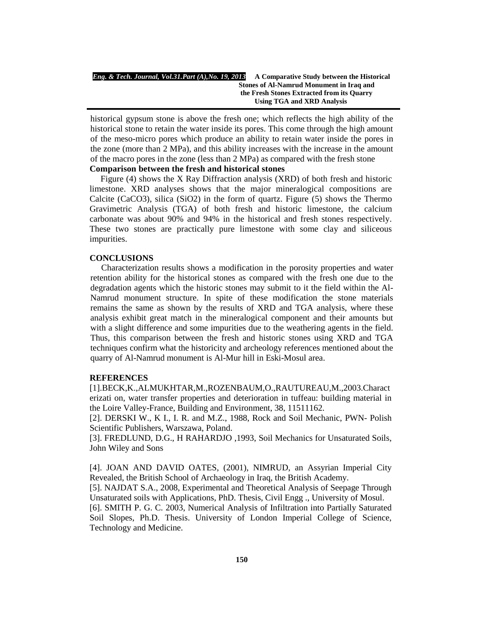| Eng. & Tech. Journal, Vol.31.Part (A), No. 19, 2013 | A Comparative Study between the Historical |  |  |
|-----------------------------------------------------|--------------------------------------------|--|--|
|                                                     | Stones of Al-Namrud Monument in Iraq and   |  |  |
|                                                     | the Fresh Stones Extracted from its Quarry |  |  |
|                                                     | Using TGA and XRD Analysis                 |  |  |

historical gypsum stone is above the fresh one; which reflects the high ability of the historical stone to retain the water inside its pores. This come through the high amount of the meso-micro pores which produce an ability to retain water inside the pores in the zone (more than 2 MPa), and this ability increases with the increase in the amount of the macro pores in the zone (less than 2 MPa) as compared with the fresh stone

## **Comparison between the fresh and historical stones**

 Figure (4) shows the X Ray Diffraction analysis (XRD) of both fresh and historic limestone. XRD analyses shows that the major mineralogical compositions are Calcite (CaCO3), silica (SiO2) in the form of quartz. Figure (5) shows the Thermo Gravimetric Analysis (TGA) of both fresh and historic limestone, the calcium carbonate was about 90% and 94% in the historical and fresh stones respectively. These two stones are practically pure limestone with some clay and siliceous impurities.

#### **CONCLUSIONS**

 Characterization results shows a modification in the porosity properties and water retention ability for the historical stones as compared with the fresh one due to the degradation agents which the historic stones may submit to it the field within the Al-Namrud monument structure. In spite of these modification the stone materials remains the same as shown by the results of XRD and TGA analysis, where these analysis exhibit great match in the mineralogical component and their amounts but with a slight difference and some impurities due to the weathering agents in the field. Thus, this comparison between the fresh and historic stones using XRD and TGA techniques confirm what the historicity and archeology references mentioned about the quarry of Al-Namrud monument is Al-Mur hill in Eski-Mosul area.

## **REFERENCES**

[1].BECK,K.,ALMUKHTAR,M.,ROZENBAUM,O.,RAUTUREAU,M.,2003.Charact erizati on, water transfer properties and deterioration in tuffeau: building material in the Loire Valley-France, Building and Environment, 38, 11511162.

[2]. DERSKI W., K I., I. R. and M.Z., 1988, Rock and Soil Mechanic, PWN- Polish Scientific Publishers, Warszawa, Poland.

[3]. FREDLUND, D.G., H RAHARDJO ,1993, Soil Mechanics for Unsaturated Soils, John Wiley and Sons

[4]. JOAN AND DAVID OATES, (2001), NIMRUD, an Assyrian Imperial City Revealed, the British School of Archaeology in Iraq, the British Academy.

[5]. NAJDAT S.A., 2008, Experimental and Theoretical Analysis of Seepage Through Unsaturated soils with Applications, PhD. Thesis, Civil Engg ., University of Mosul.

[6]. SMITH P. G. C. 2003, Numerical Analysis of Infiltration into Partially Saturated Soil Slopes, Ph.D. Thesis. University of London Imperial College of Science, Technology and Medicine.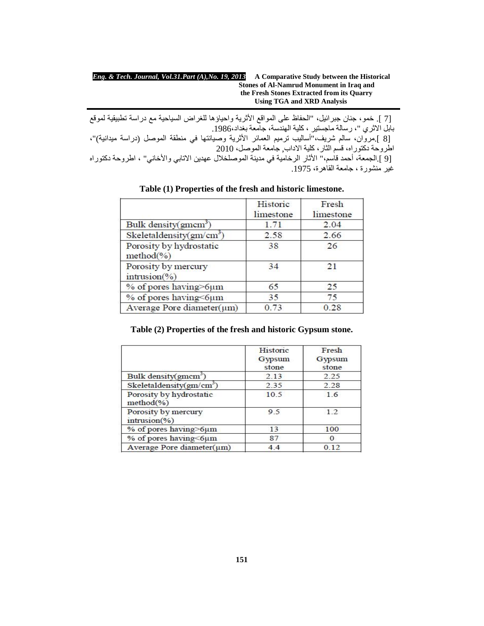| Eng. & Tech. Journal, Vol.31.Part (A), No. 19, 2013 | A Comparative Study between the Historical |  |  |
|-----------------------------------------------------|--------------------------------------------|--|--|
|                                                     | Stones of Al-Namrud Monument in Iraq and   |  |  |
|                                                     | the Fresh Stones Extracted from its Quarry |  |  |
|                                                     | Using TGA and XRD Analysis                 |  |  |

 [7 ]. خمو، جنان جبرائیل، "الحفاظ على المواقع الأثریة واحیاؤھا للغراض السیاحیة مع دراسة تطبیقیة لموقع بابل الاثري "، رسالة ماجستیر ، كلیة الھندسة، جامعة بغداد.1986، [8 ].مروان، سالم شریف،"أسالیب ترمیم العمائر الأثریة وصیانتھا في منطقة الموصل (دراسة میدانیة)"، اطروحة دكتوراه، قسم الثار، كلیة الاداب, جامعة الموصل، 2010 [9 ].الجمعة، أحمد قاسم،" الأثار الرخامیة في مدینة الموصلخلال عھدین الاتابي والأخاني" ، اطروحة دكتوراه غیر منشورة ، جامعة القاهرة، 1975.

|                                        | Historic<br>limestone | Fresh<br>limestone |
|----------------------------------------|-----------------------|--------------------|
| Bulk density(gmcm <sup>3</sup> )       | 1.71                  | 2.04               |
| Skeletaldensity( $gm/cm3$ )            | 2.58                  | 2.66               |
| Porosity by hydrostatic<br>$method(*)$ | 38                    | 26                 |
| Porosity by mercury<br>intrusion(%)    | 34                    | 21                 |
| % of pores having>6µm                  | 65                    | 25                 |
| % of pores having<6µm                  | 35                    | 75                 |
| Average Pore diameter(um)              | 0.73                  | 0.28               |

**Table (1) Properties of the fresh and historic limestone.**

## **Table (2) Properties of the fresh and historic Gypsum stone.**

|                                         | Historic<br>Gypsum<br>stone | Fresh<br>Gypsum<br>stone |
|-----------------------------------------|-----------------------------|--------------------------|
| Bulk density(gmcm <sup>3</sup> )        | 2.13                        | 2.25                     |
| Skeletaldensity(gm/cm <sup>3</sup> )    | 2.35                        | 2.28                     |
| Porosity by hydrostatic<br>$method(\%)$ | 10.5                        | 1.6                      |
| Porosity by mercury<br>intrusion(%)     | 9 <sub>5</sub>              | 1.2                      |
| % of pores having>6µm                   | 13                          | 100                      |
| % of pores having<6µm                   | 87                          | O                        |
| Average Pore diameter(um)               | 4.4                         | 012                      |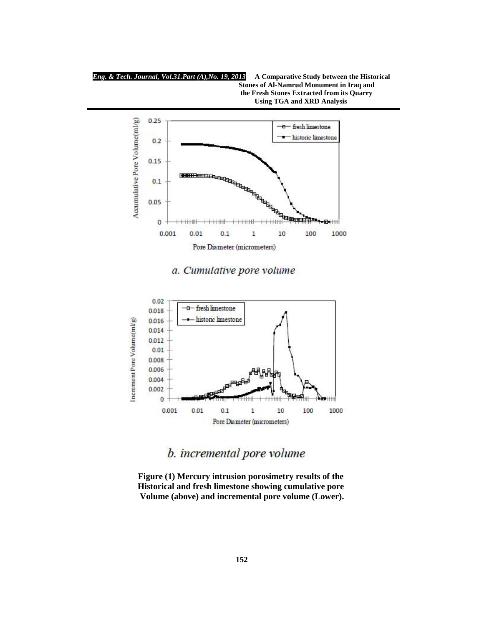



a. Cumulative pore volume



b. incremental pore volume

**Figure (1) Mercury intrusion porosimetry results of the Historical and fresh limestone showing cumulative pore Volume (above) and incremental pore volume (Lower).**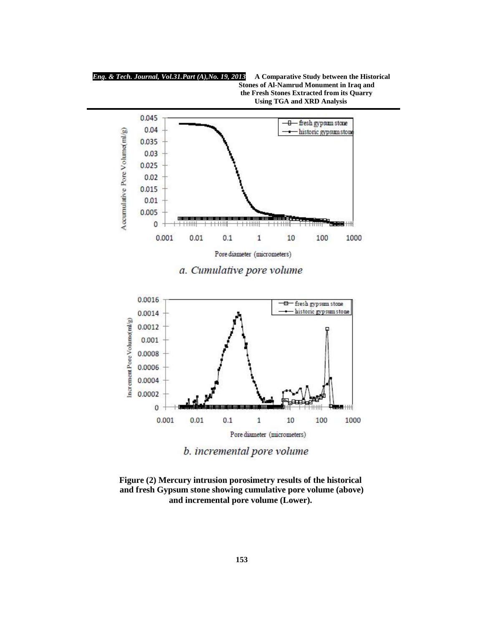



b. incremental pore volume

**Figure (2) Mercury intrusion porosimetry results of the historical and fresh Gypsum stone showing cumulative pore volume (above) and incremental pore volume (Lower).**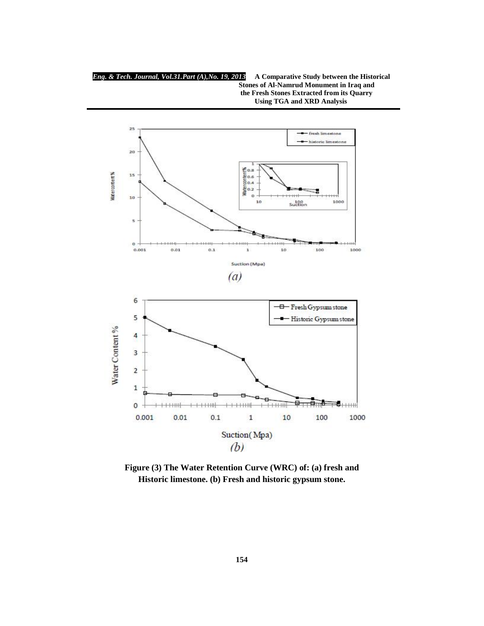*Eng. & Tech. Journal, Vol.31.Part (A),No. 19, 2013* **A Comparative Study between the Historical Stones of Al-Namrud Monument in Iraq and the Fresh Stones Extracted from its Quarry Using TGA and XRD Analysis**



**Figure (3) The Water Retention Curve (WRC) of: (a) fresh and Historic limestone. (b) Fresh and historic gypsum stone.**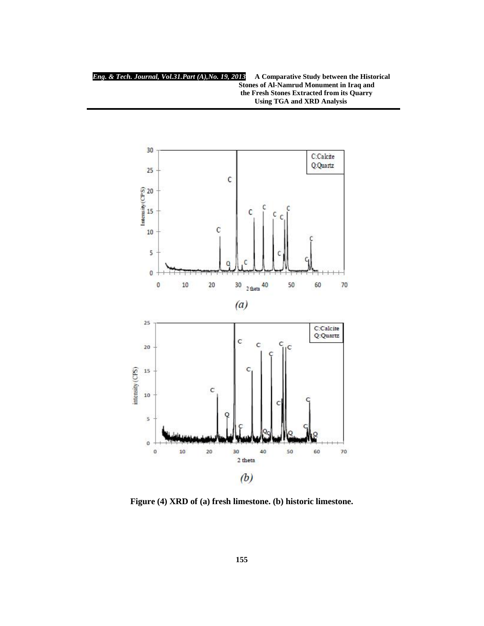

**Figure (4) XRD of (a) fresh limestone. (b) historic limestone.**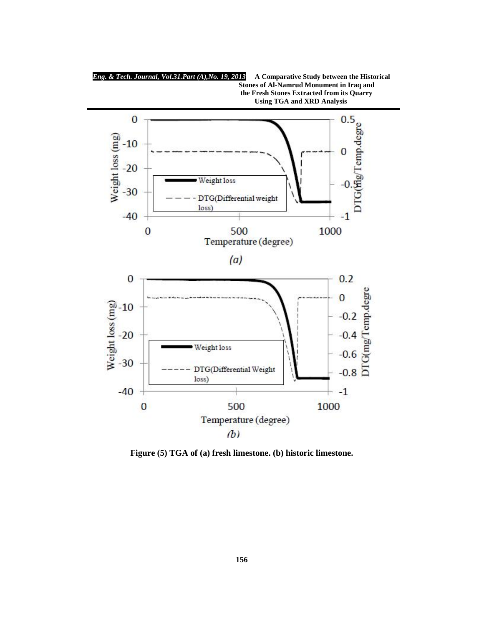

**Figure (5) TGA of (a) fresh limestone. (b) historic limestone.**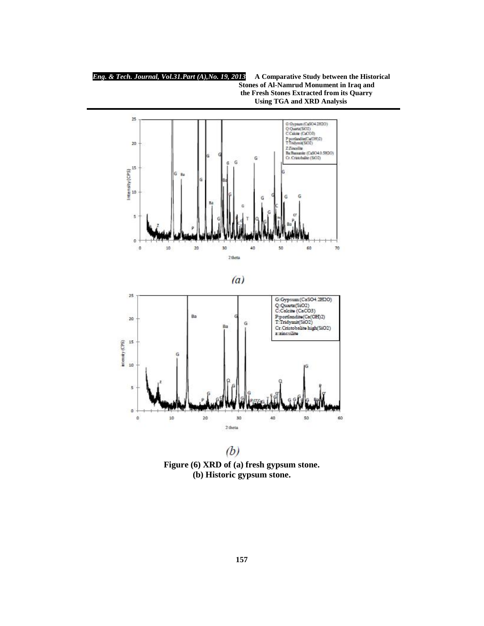*Eng. & Tech. Journal, Vol.31.Part (A),No. 19, 2013* **A Comparative Study between the Historical Stones of Al-Namrud Monument in Iraq and the Fresh Stones Extracted from its Quarry Using TGA and XRD Analysis**







 $(b)$ **Figure (6) XRD of (a) fresh gypsum stone. (b) Historic gypsum stone.**